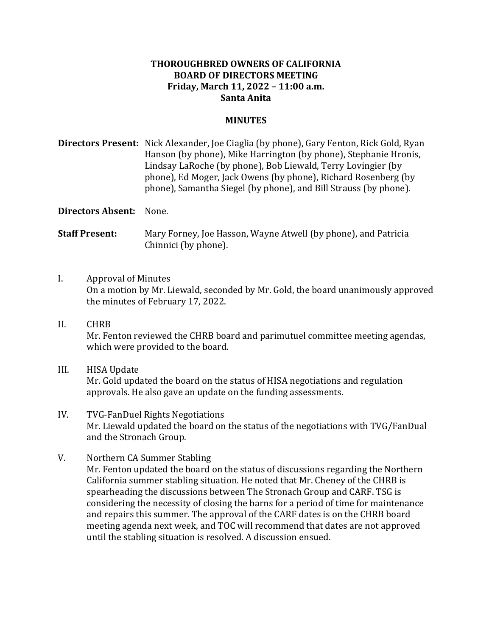## **THOROUGHBRED OWNERS OF CALIFORNIA BOARD OF DIRECTORS MEETING Friday, March 11, 2022 – 11:00 a.m. Santa Anita**

## **MINUTES**

Directors Present: Nick Alexander, Joe Ciaglia (by phone), Gary Fenton, Rick Gold, Ryan Hanson (by phone), Mike Harrington (by phone), Stephanie Hronis, Lindsay LaRoche (by phone), Bob Liewald, Terry Lovingier (by phone), Ed Moger, Jack Owens (by phone), Richard Rosenberg (by phone), Samantha Siegel (by phone), and Bill Strauss (by phone).

**Directors Absent:** None.

**Staff Present:** Mary Forney, Joe Hasson, Wayne Atwell (by phone), and Patricia Chinnici (by phone).

- I. Approval of Minutes On a motion by Mr. Liewald, seconded by Mr. Gold, the board unanimously approved the minutes of February 17, 2022.
- II. CHRB Mr. Fenton reviewed the CHRB board and parimutuel committee meeting agendas, which were provided to the board.
- III. HISA Update Mr. Gold updated the board on the status of HISA negotiations and regulation approvals. He also gave an update on the funding assessments.
- IV. TVG-FanDuel Rights Negotiations Mr. Liewald updated the board on the status of the negotiations with TVG/FanDual and the Stronach Group.
- V. Northern CA Summer Stabling Mr. Fenton updated the board on the status of discussions regarding the Northern California summer stabling situation. He noted that Mr. Cheney of the CHRB is spearheading the discussions between The Stronach Group and CARF. TSG is considering the necessity of closing the barns for a period of time for maintenance and repairs this summer. The approval of the CARF dates is on the CHRB board meeting agenda next week, and TOC will recommend that dates are not approved until the stabling situation is resolved. A discussion ensued.